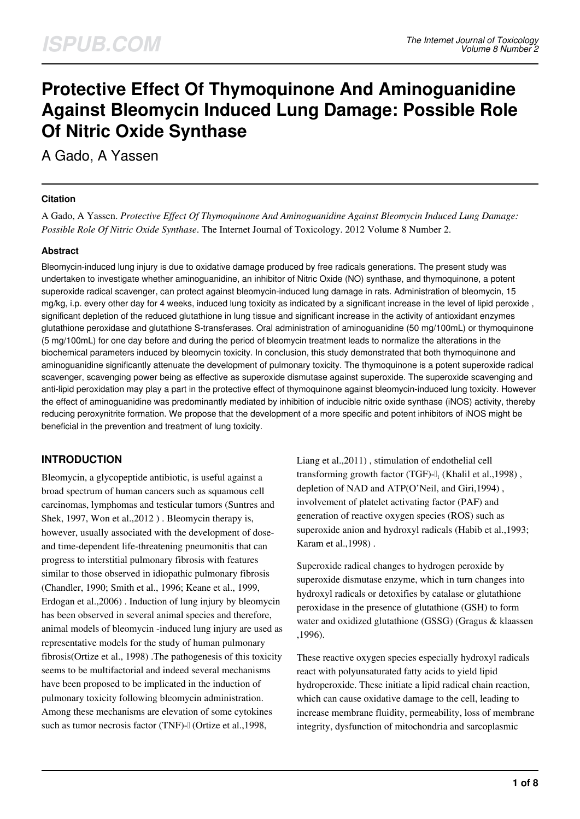# **Protective Effect Of Thymoquinone And Aminoguanidine Against Bleomycin Induced Lung Damage: Possible Role Of Nitric Oxide Synthase**

A Gado, A Yassen

#### **Citation**

A Gado, A Yassen. *Protective Effect Of Thymoquinone And Aminoguanidine Against Bleomycin Induced Lung Damage: Possible Role Of Nitric Oxide Synthase*. The Internet Journal of Toxicology. 2012 Volume 8 Number 2.

## **Abstract**

Bleomycin-induced lung injury is due to oxidative damage produced by free radicals generations. The present study was undertaken to investigate whether aminoguanidine, an inhibitor of Nitric Oxide (NO) synthase, and thymoquinone, a potent superoxide radical scavenger, can protect against bleomycin-induced lung damage in rats. Administration of bleomycin, 15 mg/kg, i.p. every other day for 4 weeks, induced lung toxicity as indicated by a significant increase in the level of lipid peroxide , significant depletion of the reduced glutathione in lung tissue and significant increase in the activity of antioxidant enzymes glutathione peroxidase and glutathione S-transferases. Oral administration of aminoguanidine (50 mg/100mL) or thymoquinone (5 mg/100mL) for one day before and during the period of bleomycin treatment leads to normalize the alterations in the biochemical parameters induced by bleomycin toxicity. In conclusion, this study demonstrated that both thymoquinone and aminoguanidine significantly attenuate the development of pulmonary toxicity. The thymoquinone is a potent superoxide radical scavenger, scavenging power being as effective as superoxide dismutase against superoxide. The superoxide scavenging and anti-lipid peroxidation may play a part in the protective effect of thymoquinone against bleomycin-induced lung toxicity. However the effect of aminoguanidine was predominantly mediated by inhibition of inducible nitric oxide synthase (iNOS) activity, thereby reducing peroxynitrite formation. We propose that the development of a more specific and potent inhibitors of iNOS might be beneficial in the prevention and treatment of lung toxicity.

# **INTRODUCTION**

Bleomycin, a glycopeptide antibiotic, is useful against a broad spectrum of human cancers such as squamous cell carcinomas, lymphomas and testicular tumors (Suntres and Shek, 1997, Won et al.,2012 ) . Bleomycin therapy is, however, usually associated with the development of doseand time-dependent life-threatening pneumonitis that can progress to interstitial pulmonary fibrosis with features similar to those observed in idiopathic pulmonary fibrosis (Chandler, 1990; Smith et al., 1996; Keane et al., 1999, Erdogan et al.,2006) . Induction of lung injury by bleomycin has been observed in several animal species and therefore, animal models of bleomycin -induced lung injury are used as representative models for the study of human pulmonary fibrosis(Ortize et al., 1998) .The pathogenesis of this toxicity seems to be multifactorial and indeed several mechanisms have been proposed to be implicated in the induction of pulmonary toxicity following bleomycin administration. Among these mechanisms are elevation of some cytokines such as tumor necrosis factor (TNF)- $\alpha$  (Ortize et al., 1998,

Liang et al.,2011) , stimulation of endothelial cell transforming growth factor (TGF)-l<sub>1</sub> (Khalil et al., 1998), depletion of NAD and ATP(O'Neil, and Giri,1994) , involvement of platelet activating factor (PAF) and generation of reactive oxygen species (ROS) such as superoxide anion and hydroxyl radicals (Habib et al.,1993; Karam et al.,1998) .

Superoxide radical changes to hydrogen peroxide by superoxide dismutase enzyme, which in turn changes into hydroxyl radicals or detoxifies by catalase or glutathione peroxidase in the presence of glutathione (GSH) to form water and oxidized glutathione (GSSG) (Gragus & klaassen ,1996).

These reactive oxygen species especially hydroxyl radicals react with polyunsaturated fatty acids to yield lipid hydroperoxide. These initiate a lipid radical chain reaction, which can cause oxidative damage to the cell, leading to increase membrane fluidity, permeability, loss of membrane integrity, dysfunction of mitochondria and sarcoplasmic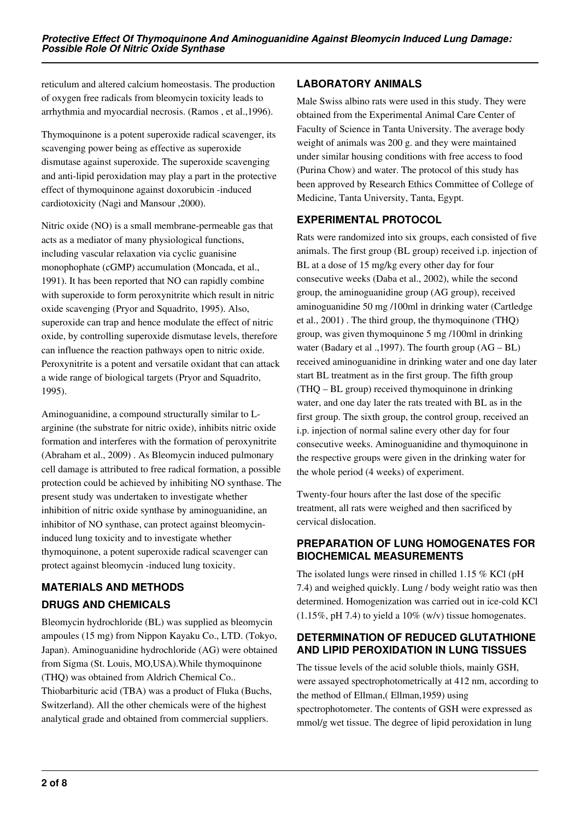reticulum and altered calcium homeostasis. The production of oxygen free radicals from bleomycin toxicity leads to arrhythmia and myocardial necrosis. (Ramos , et al.,1996).

Thymoquinone is a potent superoxide radical scavenger, its scavenging power being as effective as superoxide dismutase against superoxide. The superoxide scavenging and anti-lipid peroxidation may play a part in the protective effect of thymoquinone against doxorubicin -induced cardiotoxicity (Nagi and Mansour ,2000).

Nitric oxide (NO) is a small membrane-permeable gas that acts as a mediator of many physiological functions, including vascular relaxation via cyclic guanisine monophophate (cGMP) accumulation (Moncada, et al., 1991). It has been reported that NO can rapidly combine with superoxide to form peroxynitrite which result in nitric oxide scavenging (Pryor and Squadrito, 1995). Also, superoxide can trap and hence modulate the effect of nitric oxide, by controlling superoxide dismutase levels, therefore can influence the reaction pathways open to nitric oxide. Peroxynitrite is a potent and versatile oxidant that can attack a wide range of biological targets (Pryor and Squadrito, 1995).

Aminoguanidine, a compound structurally similar to Larginine (the substrate for nitric oxide), inhibits nitric oxide formation and interferes with the formation of peroxynitrite (Abraham et al., 2009) . As Bleomycin induced pulmonary cell damage is attributed to free radical formation, a possible protection could be achieved by inhibiting NO synthase. The present study was undertaken to investigate whether inhibition of nitric oxide synthase by aminoguanidine, an inhibitor of NO synthase, can protect against bleomycininduced lung toxicity and to investigate whether thymoquinone, a potent superoxide radical scavenger can protect against bleomycin -induced lung toxicity.

# **MATERIALS AND METHODS DRUGS AND CHEMICALS**

Bleomycin hydrochloride (BL) was supplied as bleomycin ampoules (15 mg) from Nippon Kayaku Co., LTD. (Tokyo, Japan). Aminoguanidine hydrochloride (AG) were obtained from Sigma (St. Louis, MO,USA).While thymoquinone (THQ) was obtained from Aldrich Chemical Co.. Thiobarbituric acid (TBA) was a product of Fluka (Buchs, Switzerland). All the other chemicals were of the highest analytical grade and obtained from commercial suppliers.

# **LABORATORY ANIMALS**

Male Swiss albino rats were used in this study. They were obtained from the Experimental Animal Care Center of Faculty of Science in Tanta University. The average body weight of animals was 200 g. and they were maintained under similar housing conditions with free access to food (Purina Chow) and water. The protocol of this study has been approved by Research Ethics Committee of College of Medicine, Tanta University, Tanta, Egypt.

# **EXPERIMENTAL PROTOCOL**

Rats were randomized into six groups, each consisted of five animals. The first group (BL group) received i.p. injection of BL at a dose of 15 mg/kg every other day for four consecutive weeks (Daba et al., 2002), while the second group, the aminoguanidine group (AG group), received aminoguanidine 50 mg /100ml in drinking water (Cartledge et al., 2001) . The third group, the thymoquinone (THQ) group, was given thymoquinone 5 mg /100ml in drinking water (Badary et al .,1997). The fourth group (AG – BL) received aminoguanidine in drinking water and one day later start BL treatment as in the first group. The fifth group (THQ – BL group) received thymoquinone in drinking water, and one day later the rats treated with BL as in the first group. The sixth group, the control group, received an i.p. injection of normal saline every other day for four consecutive weeks. Aminoguanidine and thymoquinone in the respective groups were given in the drinking water for the whole period (4 weeks) of experiment.

Twenty-four hours after the last dose of the specific treatment, all rats were weighed and then sacrificed by cervical dislocation.

# **PREPARATION OF LUNG HOMOGENATES FOR BIOCHEMICAL MEASUREMENTS**

The isolated lungs were rinsed in chilled 1.15 % KCl (pH 7.4) and weighed quickly. Lung / body weight ratio was then determined. Homogenization was carried out in ice-cold KCl  $(1.15\%, pH 7.4)$  to yield a  $10\%$  (w/v) tissue homogenates.

# **DETERMINATION OF REDUCED GLUTATHIONE AND LIPID PEROXIDATION IN LUNG TISSUES**

The tissue levels of the acid soluble thiols, mainly GSH, were assayed spectrophotometrically at 412 nm, according to the method of Ellman,( Ellman,1959) using spectrophotometer. The contents of GSH were expressed as mmol/g wet tissue. The degree of lipid peroxidation in lung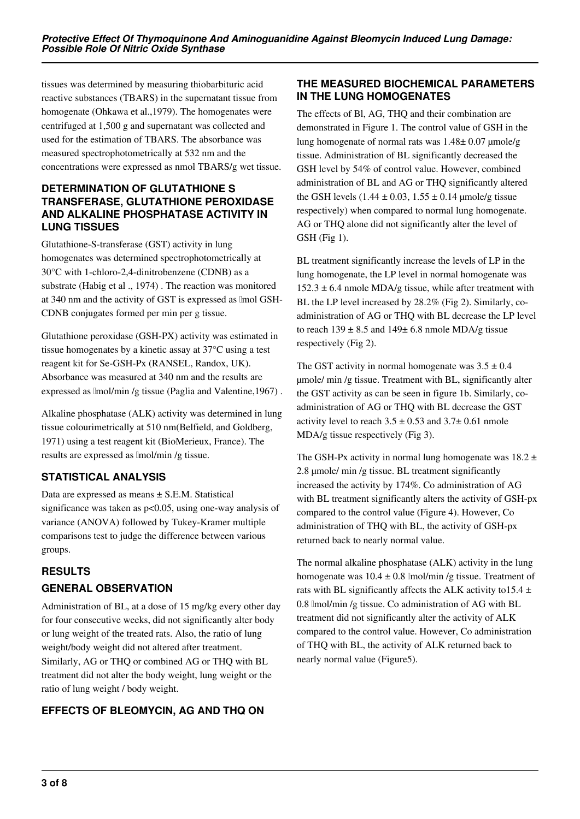tissues was determined by measuring thiobarbituric acid reactive substances (TBARS) in the supernatant tissue from homogenate (Ohkawa et al.,1979). The homogenates were centrifuged at 1,500 g and supernatant was collected and used for the estimation of TBARS. The absorbance was measured spectrophotometrically at 532 nm and the concentrations were expressed as nmol TBARS/g wet tissue.

## **DETERMINATION OF GLUTATHIONE S TRANSFERASE, GLUTATHIONE PEROXIDASE AND ALKALINE PHOSPHATASE ACTIVITY IN LUNG TISSUES**

Glutathione-S-transferase (GST) activity in lung homogenates was determined spectrophotometrically at 30°C with 1-chloro-2,4-dinitrobenzene (CDNB) as a substrate (Habig et al ., 1974) . The reaction was monitored at 340 nm and the activity of GST is expressed as lmol GSH-CDNB conjugates formed per min per g tissue.

Glutathione peroxidase (GSH-PX) activity was estimated in tissue homogenates by a kinetic assay at 37°C using a test reagent kit for Se-GSH-Px (RANSEL, Randox, UK). Absorbance was measured at 340 nm and the results are expressed as lmol/min /g tissue (Paglia and Valentine, 1967).

Alkaline phosphatase (ALK) activity was determined in lung tissue colourimetrically at 510 nm(Belfield, and Goldberg, 1971) using a test reagent kit (BioMerieux, France). The results are expressed as μmol/min /g tissue.

# **STATISTICAL ANALYSIS**

Data are expressed as means ± S.E.M. Statistical significance was taken as p<0.05, using one-way analysis of variance (ANOVA) followed by Tukey-Kramer multiple comparisons test to judge the difference between various groups.

# **RESULTS GENERAL OBSERVATION**

Administration of BL, at a dose of 15 mg/kg every other day for four consecutive weeks, did not significantly alter body or lung weight of the treated rats. Also, the ratio of lung weight/body weight did not altered after treatment. Similarly, AG or THQ or combined AG or THQ with BL treatment did not alter the body weight, lung weight or the ratio of lung weight / body weight.

# **EFFECTS OF BLEOMYCIN, AG AND THQ ON**

# **THE MEASURED BIOCHEMICAL PARAMETERS IN THE LUNG HOMOGENATES**

The effects of Bl, AG, THQ and their combination are demonstrated in Figure 1. The control value of GSH in the lung homogenate of normal rats was  $1.48 \pm 0.07$  µmole/g tissue. Administration of BL significantly decreased the GSH level by 54% of control value. However, combined administration of BL and AG or THQ significantly altered the GSH levels (1.44  $\pm$  0.03, 1.55  $\pm$  0.14 µmole/g tissue respectively) when compared to normal lung homogenate. AG or THQ alone did not significantly alter the level of GSH (Fig 1).

BL treatment significantly increase the levels of LP in the lung homogenate, the LP level in normal homogenate was  $152.3 \pm 6.4$  nmole MDA/g tissue, while after treatment with BL the LP level increased by 28.2% (Fig 2). Similarly, coadministration of AG or THQ with BL decrease the LP level to reach  $139 \pm 8.5$  and  $149 \pm 6.8$  nmole MDA/g tissue respectively (Fig 2).

The GST activity in normal homogenate was  $3.5 \pm 0.4$ µmole/ min /g tissue. Treatment with BL, significantly alter the GST activity as can be seen in figure 1b. Similarly, coadministration of AG or THQ with BL decrease the GST activity level to reach  $3.5 \pm 0.53$  and  $3.7 \pm 0.61$  nmole MDA/g tissue respectively (Fig 3).

The GSH-Px activity in normal lung homogenate was  $18.2 \pm$ 2.8 µmole/ min /g tissue. BL treatment significantly increased the activity by 174%. Co administration of AG with BL treatment significantly alters the activity of GSH-px compared to the control value (Figure 4). However, Co administration of THQ with BL, the activity of GSH-px returned back to nearly normal value.

The normal alkaline phosphatase (ALK) activity in the lung homogenate was  $10.4 \pm 0.8$  lmol/min /g tissue. Treatment of rats with BL significantly affects the ALK activity to 15.4  $\pm$ 0.8 lmol/min /g tissue. Co administration of AG with BL treatment did not significantly alter the activity of ALK compared to the control value. However, Co administration of THQ with BL, the activity of ALK returned back to nearly normal value (Figure5).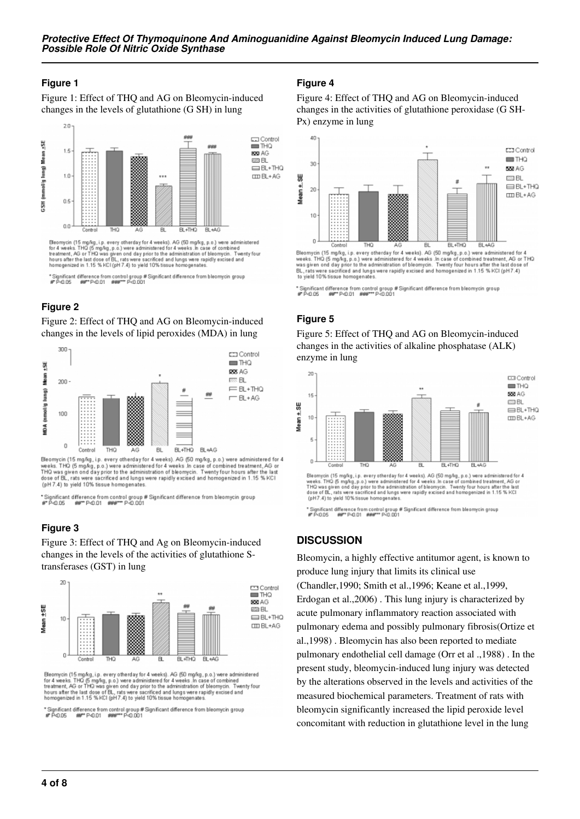#### **Figure 1**

Figure 1: Effect of THQ and AG on Bleomycin-induced changes in the levels of glutathione (G SH) in lung



Eleomycin (15 mg/kg, i.p. every otherday for 4 weeks). AG (50 mg/kg, p.o.) were administered<br>for 4 weeks. THO (5 mg/kg, p.o.) were administered for 4 weeks. In case of combined<br>treatment, AG or THO was given ond day prior

\* Significant difference from control group # Significant difference from bleomycin group<br>#\* P<0.05 ##\*\*\* P<0.01 ###\*\*\* P<0.001

# **Figure 2**

Figure 2: Effect of THQ and AG on Bleomycin-induced changes in the levels of lipid peroxides (MDA) in lung



Bleomycin (15 mg/kg, i.p. every otherday for 4 weeks). AG (50 mg/kg, p.o.) were administered for 4 weeks. THO (5 mg/kg, p.o.) were administered for 4 weeks. In case of combined treatment, AG or<br>THO was given ond day prior to the administration of bleomycin. Twenty four hours after the last<br>dose of BL, rats were sacrific (pH 7.4) to yield 10% tissue homogenates

\* Significant difference from control group # Significant difference from bleomycin group<br>#\* P<0.05 ##\*\* P<0.01 ###\*\*\* P<0.001

## **Figure 3**

Figure 3: Effect of THQ and Ag on Bleomycin-induced changes in the levels of the activities of glutathione Stransferases (GST) in lung



Bleomycin (15 mg/kg, i.p. every otherday for 4 weeks). AG (50 mg/kg, p.o.) were administered<br>for 4 weeks. THQ (5 mg/kg, p.o.) were administered for 4 weeks. In case of combined<br>treatment, AG or THQ was given ond day prior

\* Significant difference from control group # Significant difference from bleomycin group<br>#\* P<0.05 ##\*\* P<0.01 ###\*\*\* P<0.001

#### **Figure 4**

Figure 4: Effect of THQ and AG on Bleomycin-induced changes in the activities of glutathione peroxidase (G SH-Px) enzyme in lung



\* Significant difference from control group # Significant difference from bleomycin group<br>#\* P<0.05 ##\*\* P<0.01 ###\*\*\* P<0.001

## **Figure 5**

Figure 5: Effect of THQ and AG on Bleomycin-induced changes in the activities of alkaline phosphatase (ALK) enzyme in lung



" Significant difference from control group # Significant difference from bleomycin group<br>#" P<0.05 ##"" P<0.01 ###"" P<0.001

## **DISCUSSION**

Bleomycin, a highly effective antitumor agent, is known to produce lung injury that limits its clinical use (Chandler,1990; Smith et al.,1996; Keane et al.,1999, Erdogan et al.,2006) . This lung injury is characterized by acute pulmonary inflammatory reaction associated with pulmonary edema and possibly pulmonary fibrosis(Ortize et al.,1998) . Bleomycin has also been reported to mediate pulmonary endothelial cell damage (Orr et al .,1988) . In the present study, bleomycin-induced lung injury was detected by the alterations observed in the levels and activities of the measured biochemical parameters. Treatment of rats with bleomycin significantly increased the lipid peroxide level concomitant with reduction in glutathione level in the lung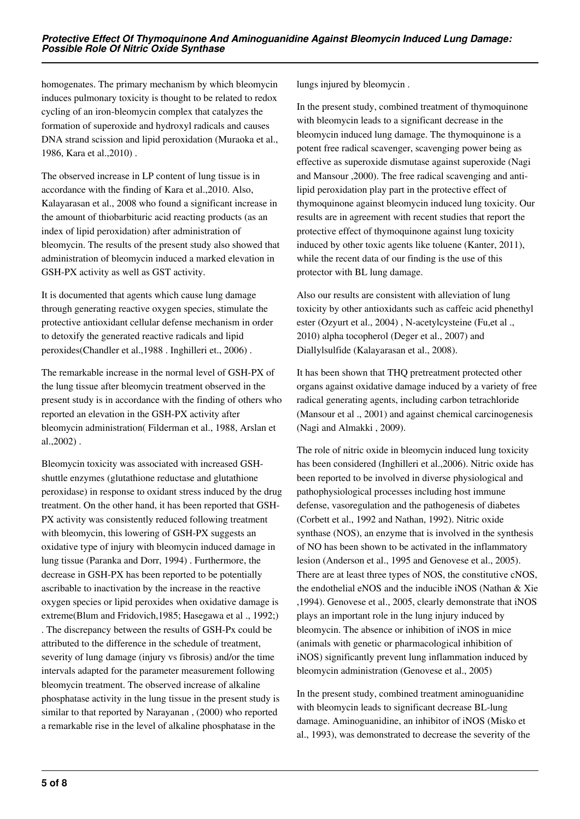homogenates. The primary mechanism by which bleomycin induces pulmonary toxicity is thought to be related to redox cycling of an iron-bleomycin complex that catalyzes the formation of superoxide and hydroxyl radicals and causes DNA strand scission and lipid peroxidation (Muraoka et al., 1986, Kara et al.,2010) .

The observed increase in LP content of lung tissue is in accordance with the finding of Kara et al.,2010. Also, Kalayarasan et al., 2008 who found a significant increase in the amount of thiobarbituric acid reacting products (as an index of lipid peroxidation) after administration of bleomycin. The results of the present study also showed that administration of bleomycin induced a marked elevation in GSH-PX activity as well as GST activity.

It is documented that agents which cause lung damage through generating reactive oxygen species, stimulate the protective antioxidant cellular defense mechanism in order to detoxify the generated reactive radicals and lipid peroxides(Chandler et al.,1988 . Inghilleri et., 2006) .

The remarkable increase in the normal level of GSH-PX of the lung tissue after bleomycin treatment observed in the present study is in accordance with the finding of others who reported an elevation in the GSH-PX activity after bleomycin administration( Filderman et al., 1988, Arslan et al.,2002) .

Bleomycin toxicity was associated with increased GSHshuttle enzymes (glutathione reductase and glutathione peroxidase) in response to oxidant stress induced by the drug treatment. On the other hand, it has been reported that GSH-PX activity was consistently reduced following treatment with bleomycin, this lowering of GSH-PX suggests an oxidative type of injury with bleomycin induced damage in lung tissue (Paranka and Dorr, 1994) . Furthermore, the decrease in GSH-PX has been reported to be potentially ascribable to inactivation by the increase in the reactive oxygen species or lipid peroxides when oxidative damage is extreme(Blum and Fridovich,1985; Hasegawa et al ., 1992;) . The discrepancy between the results of GSH-Px could be attributed to the difference in the schedule of treatment, severity of lung damage (injury vs fibrosis) and/or the time intervals adapted for the parameter measurement following bleomycin treatment. The observed increase of alkaline phosphatase activity in the lung tissue in the present study is similar to that reported by Narayanan , (2000) who reported a remarkable rise in the level of alkaline phosphatase in the

lungs injured by bleomycin .

In the present study, combined treatment of thymoquinone with bleomycin leads to a significant decrease in the bleomycin induced lung damage. The thymoquinone is a potent free radical scavenger, scavenging power being as effective as superoxide dismutase against superoxide (Nagi and Mansour ,2000). The free radical scavenging and antilipid peroxidation play part in the protective effect of thymoquinone against bleomycin induced lung toxicity. Our results are in agreement with recent studies that report the protective effect of thymoquinone against lung toxicity induced by other toxic agents like toluene (Kanter, 2011), while the recent data of our finding is the use of this protector with BL lung damage.

Also our results are consistent with alleviation of lung toxicity by other antioxidants such as caffeic acid phenethyl ester (Ozyurt et al., 2004) , N-acetylcysteine (Fu,et al ., 2010) alpha tocopherol (Deger et al., 2007) and Diallylsulfide (Kalayarasan et al., 2008).

It has been shown that THQ pretreatment protected other organs against oxidative damage induced by a variety of free radical generating agents, including carbon tetrachloride (Mansour et al ., 2001) and against chemical carcinogenesis (Nagi and Almakki , 2009).

The role of nitric oxide in bleomycin induced lung toxicity has been considered (Inghilleri et al.,2006). Nitric oxide has been reported to be involved in diverse physiological and pathophysiological processes including host immune defense, vasoregulation and the pathogenesis of diabetes (Corbett et al., 1992 and Nathan, 1992). Nitric oxide synthase (NOS), an enzyme that is involved in the synthesis of NO has been shown to be activated in the inflammatory lesion (Anderson et al., 1995 and Genovese et al., 2005). There are at least three types of NOS, the constitutive cNOS, the endothelial eNOS and the inducible iNOS (Nathan & Xie ,1994). Genovese et al., 2005, clearly demonstrate that iNOS plays an important role in the lung injury induced by bleomycin. The absence or inhibition of iNOS in mice (animals with genetic or pharmacological inhibition of iNOS) significantly prevent lung inflammation induced by bleomycin administration (Genovese et al., 2005)

In the present study, combined treatment aminoguanidine with bleomycin leads to significant decrease BL-lung damage. Aminoguanidine, an inhibitor of iNOS (Misko et al., 1993), was demonstrated to decrease the severity of the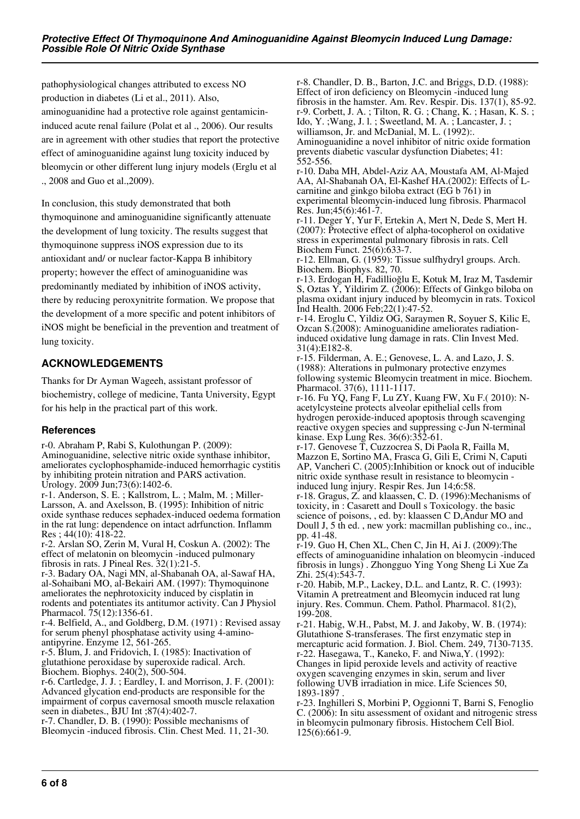pathophysiological changes attributed to excess NO production in diabetes (Li et al., 2011). Also, aminoguanidine had a protective role against gentamicininduced acute renal failure (Polat et al ., 2006). Our results are in agreement with other studies that report the protective effect of aminoguanidine against lung toxicity induced by bleomycin or other different lung injury models (Erglu et al ., 2008 and Guo et al.,2009).

In conclusion, this study demonstrated that both thymoquinone and aminoguanidine significantly attenuate the development of lung toxicity. The results suggest that thymoquinone suppress iNOS expression due to its antioxidant and/ or nuclear factor-Kappa B inhibitory property; however the effect of aminoguanidine was predominantly mediated by inhibition of iNOS activity, there by reducing peroxynitrite formation. We propose that the development of a more specific and potent inhibitors of iNOS might be beneficial in the prevention and treatment of lung toxicity.

# **ACKNOWLEDGEMENTS**

Thanks for Dr Ayman Wageeh, assistant professor of biochemistry, college of medicine, Tanta University, Egypt for his help in the practical part of this work.

## **References**

r-0. Abraham P, Rabi S, Kulothungan P. (2009): Aminoguanidine, selective nitric oxide synthase inhibitor, ameliorates cyclophosphamide-induced hemorrhagic cystitis by inhibiting protein nitration and PARS activation. Urology. 2009 Jun;73(6):1402-6.

r-1. Anderson, S. E. ; Kallstrom, L. ; Malm, M. ; Miller-Larsson, A. and Axelsson, B. (1995): Inhibition of nitric oxide synthase reduces sephadex-induced oedema formation in the rat lung: dependence on intact adrfunction. Inflamm Res ; 44(10): 418-22.

r-2. Arslan SO, Zerin M, Vural H, Coskun A. (2002): The effect of melatonin on bleomycin -induced pulmonary fibrosis in rats. J Pineal Res. 32(1):21-5.

r-3. Badary OA, Nagi MN, al-Shabanah OA, al-Sawaf HA, al-Sohaibani MO, al-Bekairi AM. (1997): Thymoquinone ameliorates the nephrotoxicity induced by cisplatin in rodents and potentiates its antitumor activity. Can J Physiol Pharmacol. 75(12):1356-61.

r-4. Belfield, A., and Goldberg, D.M. (1971) : Revised assay for serum phenyl phosphatase activity using 4-aminoantipyrine. Enzyme 12, 561-265.

r-5. Blum, J. and Fridovich, I. (1985): Inactivation of glutathione peroxidase by superoxide radical. Arch. Biochem. Biophys. 240(2), 500-504.

r-6. Cartledge, J. J. ; Eardley, I. and Morrison, J. F. (2001): Advanced glycation end-products are responsible for the impairment of corpus cavernosal smooth muscle relaxation seen in diabetes., BJU Int ;87(4):402-7.

r-7. Chandler, D. B. (1990): Possible mechanisms of Bleomycin -induced fibrosis. Clin. Chest Med. 11, 21-30. r-8. Chandler, D. B., Barton, J.C. and Briggs, D.D. (1988): Effect of iron deficiency on Bleomycin -induced lung fibrosis in the hamster. Am. Rev. Respir. Dis. 137(1), 85-92. r-9. Corbett, J. A. ; Tilton, R. G. ; Chang, K. ; Hasan, K. S. ; Ido, Y. ;Wang, J. l. ; Sweetland, M. A. ; Lancaster, J. ; williamson, Jr. and McDanial, M. L. (1992):. Aminoguanidine a novel inhibitor of nitric oxide formation

prevents diabetic vascular dysfunction Diabetes; 41: 552-556.

r-10. Daba MH, Abdel-Aziz AA, Moustafa AM, Al-Majed AA, Al-Shabanah OA, El-Kashef HA.(2002): Effects of Lcarnitine and ginkgo biloba extract (EG b 761) in experimental bleomycin-induced lung fibrosis. Pharmacol Res. Jun;45(6):461-7.

r-11. Deger Y, Yur F, Ertekin A, Mert N, Dede S, Mert H. (2007): Protective effect of alpha-tocopherol on oxidative stress in experimental pulmonary fibrosis in rats. Cell Biochem Funct. 25(6):633-7.

r-12. Ellman, G. (1959): Tissue sulfhydryl groups. Arch. Biochem. Biophys. 82, 70.

r-13. Erdogan H, Fadillioğlu E, Kotuk M, Iraz M, Tasdemir S, Oztas Y, Yildirim Z. (2006): Effects of Ginkgo biloba on plasma oxidant injury induced by bleomycin in rats. Toxicol Ind Health. 2006 Feb;22(1):47-52.

r-14. Eroglu C, Yildiz OG, Saraymen R, Soyuer S, Kilic E, Ozcan S.(2008): Aminoguanidine ameliorates radiationinduced oxidative lung damage in rats. Clin Invest Med. 31(4):E182-8.

r-15. Filderman, A. E.; Genovese, L. A. and Lazo, J. S. (1988): Alterations in pulmonary protective enzymes following systemic Bleomycin treatment in mice. Biochem. Pharmacol. 37(6), 1111-1117.

r-16. Fu YQ, Fang F, Lu ZY, Kuang FW, Xu F.( 2010): Nacetylcysteine protects alveolar epithelial cells from hydrogen peroxide-induced apoptosis through scavenging reactive oxygen species and suppressing c-Jun N-terminal kinase. Exp Lung Res. 36(6):352-61.

r-17. Genovese T, Cuzzocrea S, Di Paola R, Failla M, Mazzon E, Sortino MA, Frasca G, Gili E, Crimi N, Caputi AP, Vancheri C. (2005):Inhibition or knock out of inducible nitric oxide synthase result in resistance to bleomycin induced lung injury. Respir Res. Jun 14;6:58.

r-18. Gragus, Z. and klaassen, C. D. (1996):Mechanisms of toxicity, in : Casarett and Doull s Toxicology. the basic science of poisons, , ed. by: klaassen C D,Andur MO and Doull J, 5 th ed. , new york: macmillan publishing co., inc., pp. 41-48.

r-19. Guo H, Chen XL, Chen C, Jin H, Ai J. (2009):The effects of aminoguanidine inhalation on bleomycin -induced fibrosis in lungs) . Zhongguo Ying Yong Sheng Li Xue Za Zhi. 25(4):543-7.

r-20. Habib, M.P., Lackey, D.L. and Lantz, R. C. (1993): Vitamin A pretreatment and Bleomycin induced rat lung injury. Res. Commun. Chem. Pathol. Pharmacol. 81(2), 199-208.

r-21. Habig, W.H., Pabst, M. J. and Jakoby, W. B. (1974): Glutathione S-transferases. The first enzymatic step in mercapturic acid formation. J. Biol. Chem. 249, 7130-7135. r-22. Hasegawa, T., Kaneko, F. and Niwa,Y. (1992): Changes in lipid peroxide levels and activity of reactive oxygen scavenging enzymes in skin, serum and liver following UVB irradiation in mice. Life Sciences 50, 1893-1897 .

r-23. Inghilleri S, Morbini P, Oggionni T, Barni S, Fenoglio C. (2006): In situ assessment of oxidant and nitrogenic stress in bleomycin pulmonary fibrosis. Histochem Cell Biol. 125(6):661-9.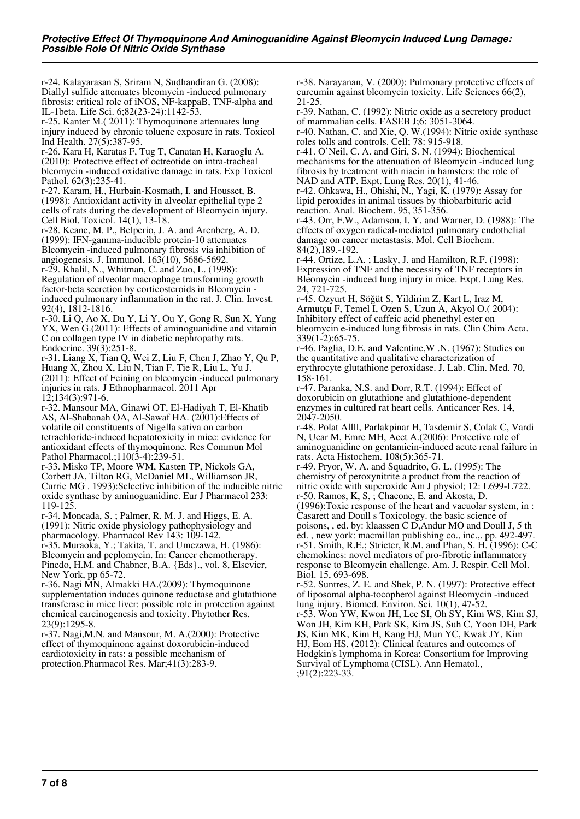r-24. Kalayarasan S, Sriram N, Sudhandiran G. (2008): Diallyl sulfide attenuates bleomycin -induced pulmonary fibrosis: critical role of iNOS, NF-kappaB, TNF-alpha and IL-1beta. Life Sci. 6;82(23-24):1142-53.

r-25. Kanter M.( 2011): Thymoquinone attenuates lung injury induced by chronic toluene exposure in rats. Toxicol Ind Health. 27(5):387-95.

r-26. Kara H, Karatas F, Tug T, Canatan H, Karaoglu A. (2010): Protective effect of octreotide on intra-tracheal bleomycin -induced oxidative damage in rats. Exp Toxicol Pathol. 62(3):235-41.

r-27. Karam, H., Hurbain-Kosmath, I. and Housset, B. (1998): Antioxidant activity in alveolar epithelial type 2 cells of rats during the development of Bleomycin injury. Cell Biol. Toxicol. 14(1), 13-18.

r-28. Keane, M. P., Belperio, J. A. and Arenberg, A. D. (1999): IFN-gamma-inducible protein-10 attenuates Bleomycin -induced pulmonary fibrosis via inhibition of angiogenesis. J. Immunol. 163(10), 5686-5692.

r-29. Khalil, N., Whitman, C. and Zuo, L. (1998): Regulation of alveolar macrophage transforming growth factor-beta secretion by corticosteroids in Bleomycin induced pulmonary inflammation in the rat. J. Clin. Invest. 92(4), 1812-1816.

r-30. Li Q, Ao X, Du Y, Li Y, Ou Y, Gong R, Sun X, Yang YX, Wen G.(2011): Effects of aminoguanidine and vitamin C on collagen type IV in diabetic nephropathy rats. Endocrine. 39(3):251-8.

r-31. Liang X, Tian Q, Wei Z, Liu F, Chen J, Zhao Y, Qu P, Huang X, Zhou X, Liu N, Tian F, Tie R, Liu L, Yu J. (2011): Effect of Feining on bleomycin -induced pulmonary injuries in rats. J Ethnopharmacol. 2011 Apr 12;134(3):971-6.

r-32. Mansour MA, Ginawi OT, El-Hadiyah T, El-Khatib AS, Al-Shabanah OA, Al-Sawaf HA. (2001):Effects of volatile oil constituents of Nigella sativa on carbon tetrachloride-induced hepatotoxicity in mice: evidence for antioxidant effects of thymoquinone. Res Commun Mol Pathol Pharmacol.;110(3-4):239-51.

r-33. Misko TP, Moore WM, Kasten TP, Nickols GA, Corbett JA, Tilton RG, McDaniel ML, Williamson JR, Currie MG . 1993):Selective inhibition of the inducible nitric oxide synthase by aminoguanidine. Eur J Pharmacol 233: 119-125.

r-34. Moncada, S. ; Palmer, R. M. J. and Higgs, E. A. (1991): Nitric oxide physiology pathophysiology and pharmacology. Pharmacol Rev 143: 109-142.

r-35. Muraoka, Y.; Takita, T. and Umezawa, H. (1986): Bleomycin and peplomycin. In: Cancer chemotherapy. Pinedo, H.M. and Chabner, B.A. {Eds}., vol. 8, Elsevier, New York, pp 65-72.

r-36. Nagi MN, Almakki HA.(2009): Thymoquinone supplementation induces quinone reductase and glutathione transferase in mice liver: possible role in protection against chemical carcinogenesis and toxicity. Phytother Res. 23(9):1295-8.

r-37. Nagi,M.N. and Mansour, M. A.(2000): Protective effect of thymoquinone against doxorubicin-induced cardiotoxicity in rats: a possible mechanism of protection.Pharmacol Res. Mar;41(3):283-9.

r-38. Narayanan, V. (2000): Pulmonary protective effects of curcumin against bleomycin toxicity. Life Sciences 66(2), 21-25.

r-39. Nathan, C. (1992): Nitric oxide as a secretory product of mammalian cells. FASEB J;6: 3051-3064.

r-40. Nathan, C. and Xie, Q. W.(1994): Nitric oxide synthase roles tolls and controls. Cell; 78: 915-918.

r-41. O'Neil, C. A. and Giri, S. N. (1994): Biochemical mechanisms for the attenuation of Bleomycin -induced lung fibrosis by treatment with niacin in hamsters: the role of NAD and ATP. Expt. Lung Res. 20(1), 41-46.

r-42. Ohkawa, H., Ohishi, N., Yagi, K. (1979): Assay for lipid peroxides in animal tissues by thiobarbituric acid reaction. Anal. Biochem. 95, 351-356.

r-43. Orr, F.W., Adamson, I. Y. and Warner, D. (1988): The effects of oxygen radical-mediated pulmonary endothelial damage on cancer metastasis. Mol. Cell Biochem. 84(2),189.-192.

r-44. Ortize, L.A. ; Lasky, J. and Hamilton, R.F. (1998): Expression of TNF and the necessity of TNF receptors in Bleomycin -induced lung injury in mice. Expt. Lung Res. 24, 721-725.

r-45. Ozyurt H, Söğüt S, Yildirim Z, Kart L, Iraz M, Armutçu F, Temel I, Ozen S, Uzun A, Akyol O.( 2004): Inhibitory effect of caffeic acid phenethyl ester on bleomycin e-induced lung fibrosis in rats. Clin Chim Acta. 339(1-2):65-75.

r-46. Paglia, D.E. and Valentine,W .N. (1967): Studies on the quantitative and qualitative characterization of erythrocyte glutathione peroxidase. J. Lab. Clin. Med. 70, 158-161.

r-47. Paranka, N.S. and Dorr, R.T. (1994): Effect of doxorubicin on glutathione and glutathione-dependent enzymes in cultured rat heart cells. Anticancer Res. 14, 2047-2050.

r-48. Polat Allll, Parlakpinar H, Tasdemir S, Colak C, Vardi N, Ucar M, Emre MH, Acet A.(2006): Protective role of aminoguanidine on gentamicin-induced acute renal failure in rats. Acta Histochem. 108(5):365-71.

r-49. Pryor, W. A. and Squadrito, G. L. (1995): The chemistry of peroxynitrite a product from the reaction of nitric oxide with superoxide Am J physiol; 12: L699-L722. r-50. Ramos, K, S, ; Chacone, E. and Akosta, D. (1996):Toxic response of the heart and vacuolar system, in :

Casarett and Doull s Toxicology. the basic science of poisons, , ed. by: klaassen C D,Andur MO and Doull J, 5 th ed. , new york: macmillan publishing co., inc.,. pp. 492-497. r-51. Smith, R.E.; Strieter, R.M. and Phan, S. H. (1996): C-C chemokines: novel mediators of pro-fibrotic inflammatory response to Bleomycin challenge. Am. J. Respir. Cell Mol. Biol. 15, 693-698.

r-52. Suntres, Z. E. and Shek, P. N. (1997): Protective effect of liposomal alpha-tocopherol against Bleomycin -induced lung injury. Biomed. Environ. Sci. 10(1), 47-52.

r-53. Won YW, Kwon JH, Lee SI, Oh SY, Kim WS, Kim SJ, Won JH, Kim KH, Park SK, Kim JS, Suh C, Yoon DH, Park JS, Kim MK, Kim H, Kang HJ, Mun YC, Kwak JY, Kim HJ, Eom HS. (2012): Clinical features and outcomes of Hodgkin's lymphoma in Korea: Consortium for Improving Survival of Lymphoma (CISL). Ann Hematol., ;91(2):223-33.